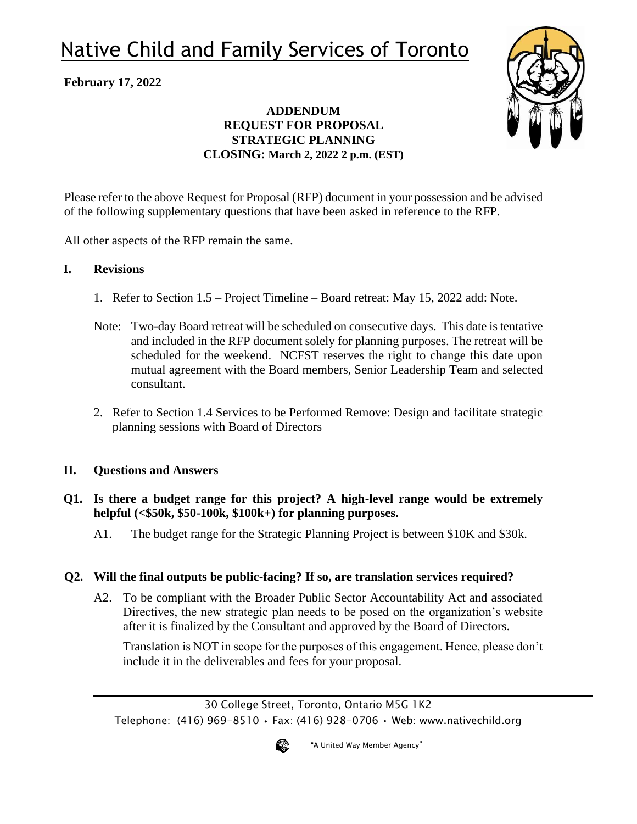# Native Child and Family Services of Toronto

## **February 17, 2022**

## **ADDENDUM REQUEST FOR PROPOSAL STRATEGIC PLANNING CLOSING: March 2, 2022 2 p.m. (EST)**



Please refer to the above Request for Proposal (RFP) document in your possession and be advised of the following supplementary questions that have been asked in reference to the RFP.

All other aspects of the RFP remain the same.

#### **I. Revisions**

- 1. Refer to Section 1.5 Project Timeline Board retreat: May 15, 2022 add: Note.
- Note: Two-day Board retreat will be scheduled on consecutive days. This date is tentative and included in the RFP document solely for planning purposes. The retreat will be scheduled for the weekend. NCFST reserves the right to change this date upon mutual agreement with the Board members, Senior Leadership Team and selected consultant.
- 2. Refer to Section 1.4 Services to be Performed Remove: Design and facilitate strategic planning sessions with Board of Directors

### **II. Questions and Answers**

- **Q1. Is there a budget range for this project? A high-level range would be extremely helpful (<\$50k, \$50-100k, \$100k+) for planning purposes.**
	- A1. The budget range for the Strategic Planning Project is between \$10K and \$30k.

### **Q2. Will the final outputs be public-facing? If so, are translation services required?**

A2. To be compliant with the Broader Public Sector Accountability Act and associated Directives, the new strategic plan needs to be posed on the organization's website after it is finalized by the Consultant and approved by the Board of Directors.

Translation is NOT in scope for the purposes of this engagement. Hence, please don't include it in the deliverables and fees for your proposal.

30 College Street, Toronto, Ontario M5G 1K2 Telephone: (416) 969-8510 • Fax: (416) 928-0706 • Web: www.nativechild.org



"A United Way Member Agency"